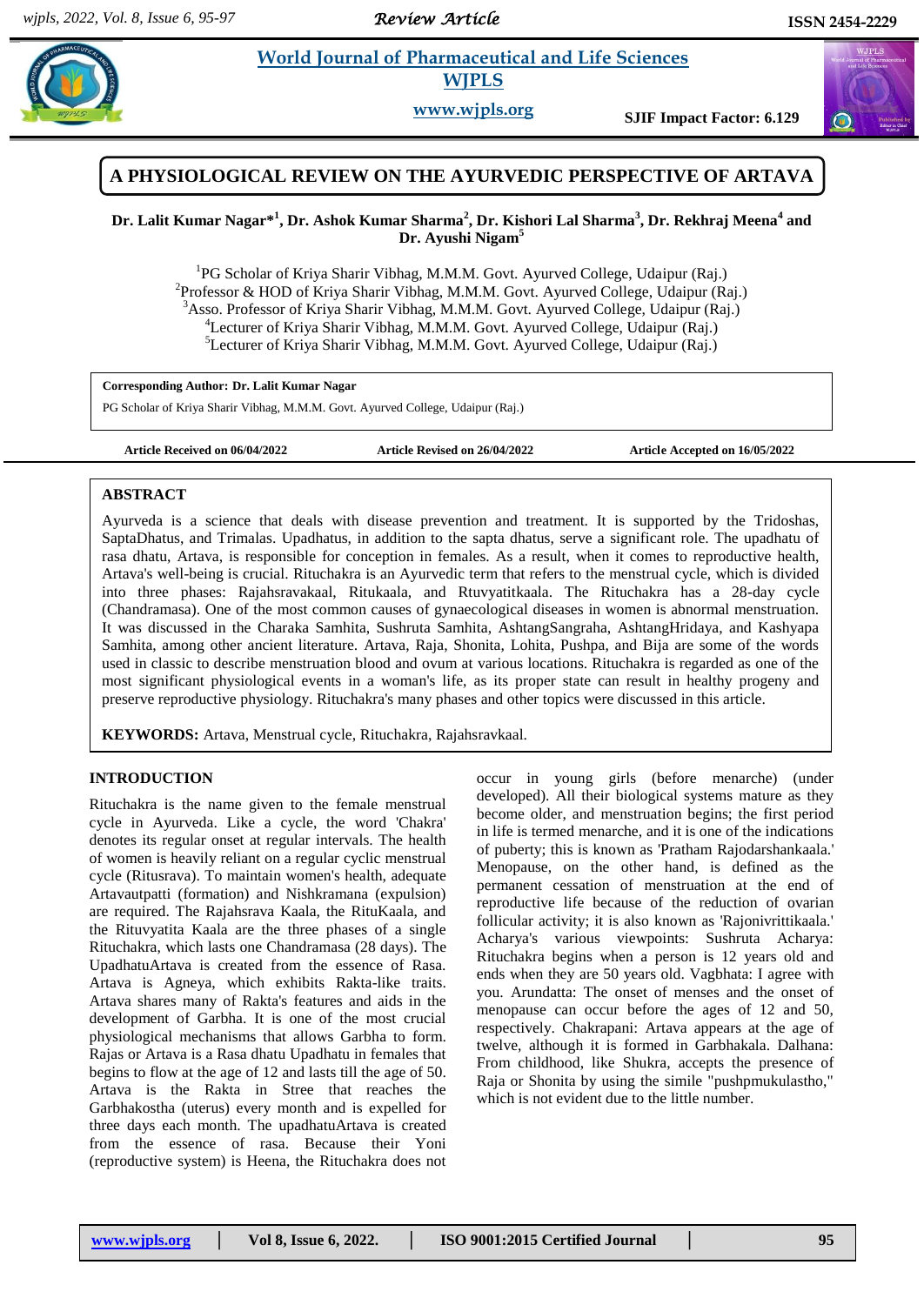*Review Article* 

# **Latitude 3 <b>World Journal of Pharmaceutical and Life Sciences WJPLS**



## **A PHYSIOLOGICAL REVIEW ON THE AYURVEDIC PERSPECTIVE OF ARTAVA**

## **Dr. Lalit Kumar Nagar\* 1 , Dr. Ashok Kumar Sharma<sup>2</sup> , Dr. Kishori Lal Sharma<sup>3</sup> , Dr. Rekhraj Meena<sup>4</sup> and Dr. Ayushi Nigam<sup>5</sup>**

<sup>1</sup>PG Scholar of Kriya Sharir Vibhag, M.M.M. Govt. Ayurved College, Udaipur (Raj.) <sup>2</sup>Professor & HOD of Kriya Sharir Vibhag, M.M.M. Govt. Ayurved College, Udaipur (Raj.) <sup>3</sup>Asso. Professor of Kriya Sharir Vibhag, M.M.M. Govt. Ayurved College, Udaipur (Raj.) <sup>4</sup>Lecturer of Kriya Sharir Vibhag, M.M.M. Govt. Ayurved College, Udaipur (Raj.) <sup>5</sup>Lecturer of Kriya Sharir Vibhag, M.M.M. Govt. Ayurved College, Udaipur (Raj.)

**Corresponding Author: Dr. Lalit Kumar Nagar**

PG Scholar of Kriya Sharir Vibhag, M.M.M. Govt. Ayurved College, Udaipur (Raj.)

**Article Received on 06/04/2022 Article Revised on 26/04/2022 Article Accepted on 16/05/2022**

#### **ABSTRACT**

Ayurveda is a science that deals with disease prevention and treatment. It is supported by the Tridoshas, SaptaDhatus, and Trimalas. Upadhatus, in addition to the sapta dhatus, serve a significant role. The upadhatu of rasa dhatu, Artava, is responsible for conception in females. As a result, when it comes to reproductive health, Artava's well-being is crucial. Rituchakra is an Ayurvedic term that refers to the menstrual cycle, which is divided into three phases: Rajahsravakaal, Ritukaala, and Rtuvyatitkaala. The Rituchakra has a 28-day cycle (Chandramasa). One of the most common causes of gynaecological diseases in women is abnormal menstruation. It was discussed in the Charaka Samhita, Sushruta Samhita, AshtangSangraha, AshtangHridaya, and Kashyapa Samhita, among other ancient literature. Artava, Raja, Shonita, Lohita, Pushpa, and Bija are some of the words used in classic to describe menstruation blood and ovum at various locations. Rituchakra is regarded as one of the most significant physiological events in a woman's life, as its proper state can result in healthy progeny and preserve reproductive physiology. Rituchakra's many phases and other topics were discussed in this article.

**KEYWORDS:** Artava, Menstrual cycle, Rituchakra, Rajahsravkaal.

## **INTRODUCTION**

Rituchakra is the name given to the female menstrual cycle in Ayurveda. Like a cycle, the word 'Chakra' denotes its regular onset at regular intervals. The health of women is heavily reliant on a regular cyclic menstrual cycle (Ritusrava). To maintain women's health, adequate Artavautpatti (formation) and Nishkramana (expulsion) are required. The Rajahsrava Kaala, the RituKaala, and the Rituvyatita Kaala are the three phases of a single Rituchakra, which lasts one Chandramasa (28 days). The UpadhatuArtava is created from the essence of Rasa. Artava is Agneya, which exhibits Rakta-like traits. Artava shares many of Rakta's features and aids in the development of Garbha. It is one of the most crucial physiological mechanisms that allows Garbha to form. Rajas or Artava is a Rasa dhatu Upadhatu in females that begins to flow at the age of 12 and lasts till the age of 50. Artava is the Rakta in Stree that reaches the Garbhakostha (uterus) every month and is expelled for three days each month. The upadhatuArtava is created from the essence of rasa. Because their Yoni (reproductive system) is Heena, the Rituchakra does not

occur in young girls (before menarche) (under developed). All their biological systems mature as they become older, and menstruation begins; the first period in life is termed menarche, and it is one of the indications of puberty; this is known as 'Pratham Rajodarshankaala.' Menopause, on the other hand, is defined as the permanent cessation of menstruation at the end of reproductive life because of the reduction of ovarian follicular activity; it is also known as 'Rajonivrittikaala.' Acharya's various viewpoints: Sushruta Acharya: Rituchakra begins when a person is 12 years old and ends when they are 50 years old. Vagbhata: I agree with you. Arundatta: The onset of menses and the onset of menopause can occur before the ages of 12 and 50, respectively. Chakrapani: Artava appears at the age of twelve, although it is formed in Garbhakala. Dalhana: From childhood, like Shukra, accepts the presence of Raja or Shonita by using the simile "pushpmukulastho," which is not evident due to the little number.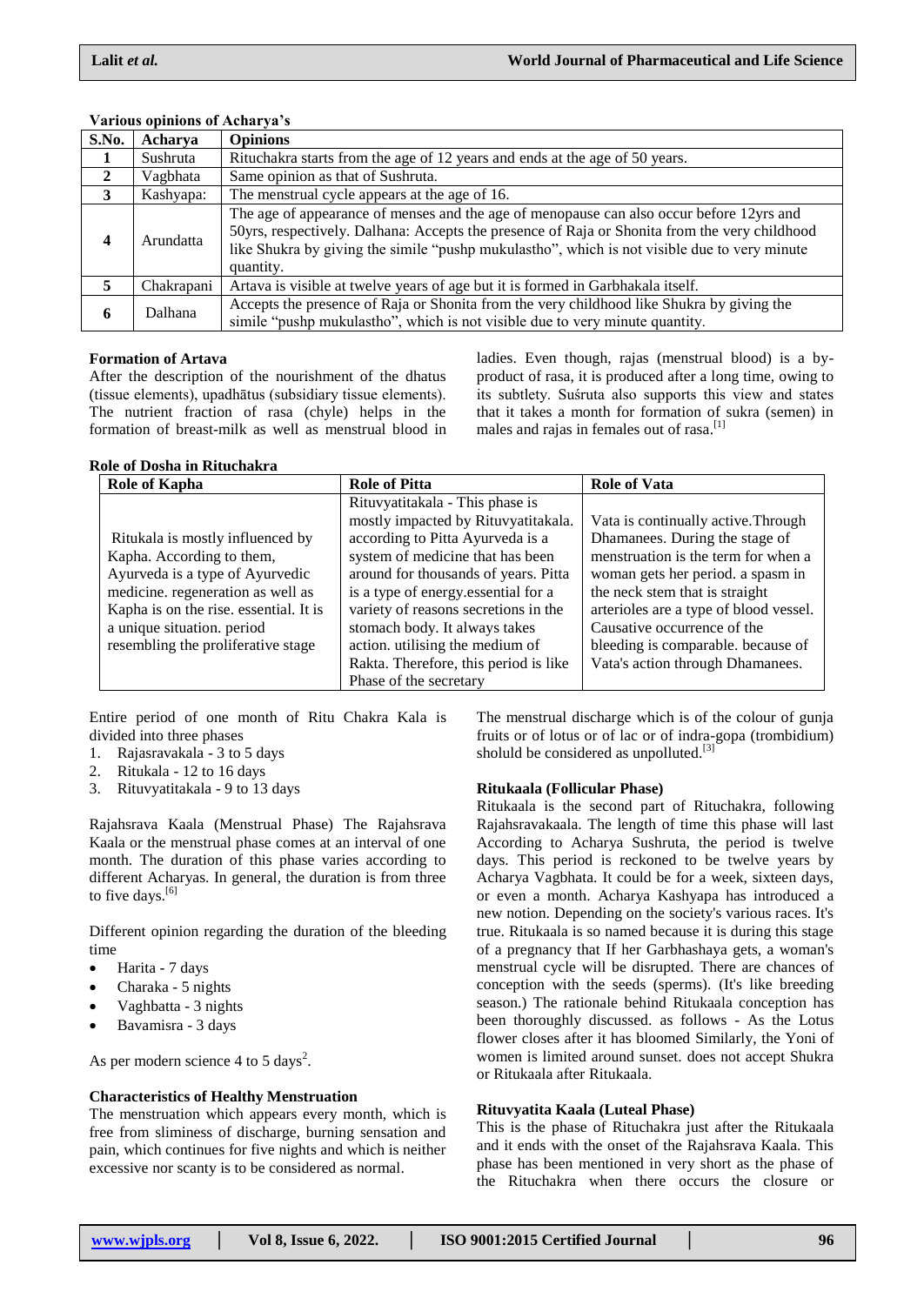| S.No.        | Acharva    | <b>Opinions</b>                                                                                                                                                                                                                                                                                        |  |
|--------------|------------|--------------------------------------------------------------------------------------------------------------------------------------------------------------------------------------------------------------------------------------------------------------------------------------------------------|--|
| 1            | Sushruta   | Rituchakra starts from the age of 12 years and ends at the age of 50 years.                                                                                                                                                                                                                            |  |
| $\mathbf{2}$ | Vagbhata   | Same opinion as that of Sushruta.                                                                                                                                                                                                                                                                      |  |
| 3            | Kashyapa:  | The menstrual cycle appears at the age of 16.                                                                                                                                                                                                                                                          |  |
| 4            | Arundatta  | The age of appearance of menses and the age of menopause can also occur before 12yrs and<br>50yrs, respectively. Dalhana: Accepts the presence of Raja or Shonita from the very childhood<br>like Shukra by giving the simile "pushp mukulastho", which is not visible due to very minute<br>quantity. |  |
| 5            | Chakrapani | Artava is visible at twelve years of age but it is formed in Garbhakala itself.                                                                                                                                                                                                                        |  |
| 6            | Dalhana    | Accepts the presence of Raja or Shonita from the very childhood like Shukra by giving the<br>simile "pushp mukulastho", which is not visible due to very minute quantity.                                                                                                                              |  |

#### **Various opinions of Acharya's**

#### **Formation of Artava**

After the description of the nourishment of the dhatus (tissue elements), upadhātus (subsidiary tissue elements). The nutrient fraction of rasa (chyle) helps in the formation of breast-milk as well as menstrual blood in

#### **Role of Dosha in Rituchakra**

ladies. Even though, rajas (menstrual blood) is a byproduct of rasa, it is produced after a long time, owing to its subtlety. Suśruta also supports this view and states that it takes a month for formation of sukra (semen) in males and rajas in females out of rasa.<sup>[1]</sup>

| <b>Role of Kapha</b>                   | <b>Role of Pitta</b>                  | <b>Role of Vata</b>                    |
|----------------------------------------|---------------------------------------|----------------------------------------|
|                                        | Rituvyatitakala - This phase is       |                                        |
|                                        | mostly impacted by Rituvyatitakala.   | Vata is continually active. Through    |
| Ritukala is mostly influenced by       | according to Pitta Ayurveda is a      | Dhamanees. During the stage of         |
| Kapha. According to them,              | system of medicine that has been      | menstruation is the term for when a    |
| Ayurveda is a type of Ayurvedic        | around for thousands of years. Pitta  | woman gets her period. a spasm in      |
| medicine. regeneration as well as      | is a type of energy essential for a   | the neck stem that is straight         |
| Kapha is on the rise. essential. It is | variety of reasons secretions in the  | arterioles are a type of blood vessel. |
| a unique situation. period             | stomach body. It always takes         | Causative occurrence of the            |
| resembling the proliferative stage     | action. utilising the medium of       | bleeding is comparable. because of     |
|                                        | Rakta. Therefore, this period is like | Vata's action through Dhamanees.       |
|                                        | Phase of the secretary                |                                        |

Entire period of one month of Ritu Chakra Kala is divided into three phases

- 1. Rajasravakala 3 to 5 days
- 2. Ritukala 12 to 16 days
- 3. Rituvyatitakala 9 to 13 days

Rajahsrava Kaala (Menstrual Phase) The Rajahsrava Kaala or the menstrual phase comes at an interval of one month. The duration of this phase varies according to different Acharyas. In general, the duration is from three to five days.<sup>[6]</sup>

Different opinion regarding the duration of the bleeding time

- Harita 7 days
- Charaka 5 nights
- Vaghbatta 3 nights
- Bavamisra 3 days

As per modern science 4 to 5 days<sup>2</sup>.

#### **Characteristics of Healthy Menstruation**

The menstruation which appears every month, which is free from sliminess of discharge, burning sensation and pain, which continues for five nights and which is neither excessive nor scanty is to be considered as normal.

The menstrual discharge which is of the colour of gunja fruits or of lotus or of lac or of indra-gopa (trombidium) sholuld be considered as unpolluted.<sup>[3]</sup>

#### **Ritukaala (Follicular Phase)**

Ritukaala is the second part of Rituchakra, following Rajahsravakaala. The length of time this phase will last According to Acharya Sushruta, the period is twelve days. This period is reckoned to be twelve years by Acharya Vagbhata. It could be for a week, sixteen days, or even a month. Acharya Kashyapa has introduced a new notion. Depending on the society's various races. It's true. Ritukaala is so named because it is during this stage of a pregnancy that If her Garbhashaya gets, a woman's menstrual cycle will be disrupted. There are chances of conception with the seeds (sperms). (It's like breeding season.) The rationale behind Ritukaala conception has been thoroughly discussed. as follows - As the Lotus flower closes after it has bloomed Similarly, the Yoni of women is limited around sunset. does not accept Shukra or Ritukaala after Ritukaala.

#### **Rituvyatita Kaala (Luteal Phase)**

This is the phase of Rituchakra just after the Ritukaala and it ends with the onset of the Rajahsrava Kaala. This phase has been mentioned in very short as the phase of the Rituchakra when there occurs the closure or